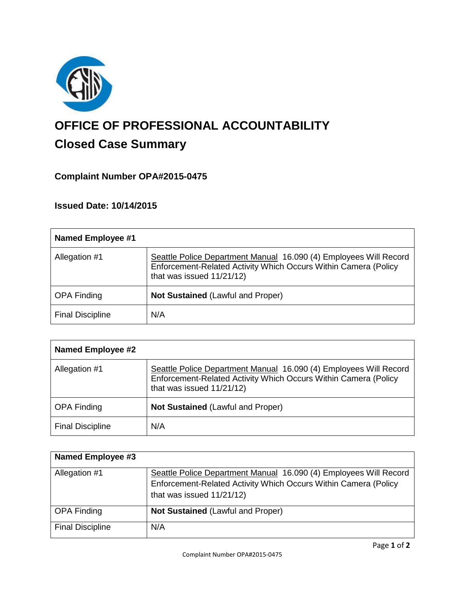

# **OFFICE OF PROFESSIONAL ACCOUNTABILITY Closed Case Summary**

## **Complaint Number OPA#2015-0475**

**Issued Date: 10/14/2015**

| <b>Named Employee #1</b> |                                                                                                                                                                   |
|--------------------------|-------------------------------------------------------------------------------------------------------------------------------------------------------------------|
| Allegation #1            | Seattle Police Department Manual 16.090 (4) Employees Will Record<br>Enforcement-Related Activity Which Occurs Within Camera (Policy<br>that was issued 11/21/12) |
| <b>OPA Finding</b>       | <b>Not Sustained (Lawful and Proper)</b>                                                                                                                          |
| <b>Final Discipline</b>  | N/A                                                                                                                                                               |

| <b>Named Employee #2</b> |                                                                                                                                                                   |
|--------------------------|-------------------------------------------------------------------------------------------------------------------------------------------------------------------|
| Allegation #1            | Seattle Police Department Manual 16.090 (4) Employees Will Record<br>Enforcement-Related Activity Which Occurs Within Camera (Policy<br>that was issued 11/21/12) |
| <b>OPA Finding</b>       | <b>Not Sustained (Lawful and Proper)</b>                                                                                                                          |
| <b>Final Discipline</b>  | N/A                                                                                                                                                               |

| <b>Named Employee #3</b> |                                                                   |
|--------------------------|-------------------------------------------------------------------|
| Allegation #1            | Seattle Police Department Manual 16.090 (4) Employees Will Record |
|                          | Enforcement-Related Activity Which Occurs Within Camera (Policy   |
|                          | that was issued 11/21/12)                                         |
| <b>OPA Finding</b>       | <b>Not Sustained (Lawful and Proper)</b>                          |
| <b>Final Discipline</b>  | N/A                                                               |